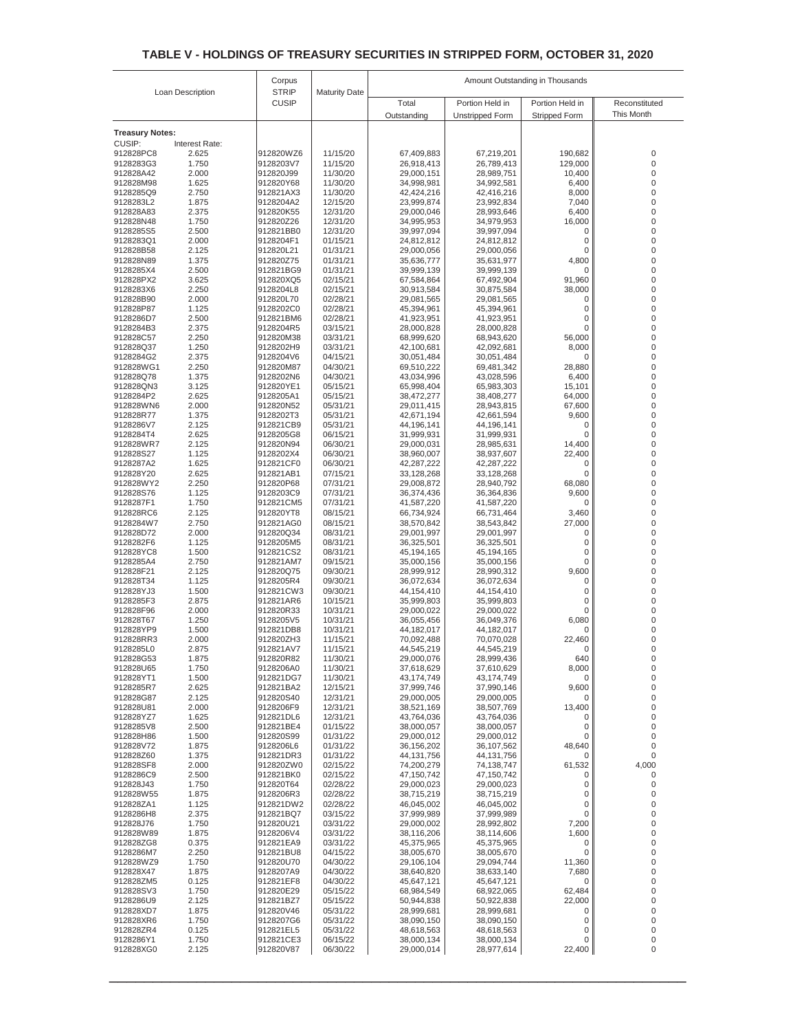| Loan Description       |                | Corpus                       | <b>Maturity Date</b> | Amount Outstanding in Thousands |                          |                      |                                      |
|------------------------|----------------|------------------------------|----------------------|---------------------------------|--------------------------|----------------------|--------------------------------------|
|                        |                | <b>STRIP</b><br><b>CUSIP</b> |                      | Total                           | Portion Held in          | Portion Held in      | Reconstituted                        |
|                        |                |                              |                      | Outstanding                     | <b>Unstripped Form</b>   | <b>Stripped Form</b> | This Month                           |
| <b>Treasury Notes:</b> |                |                              |                      |                                 |                          |                      |                                      |
| CUSIP:                 | Interest Rate: |                              |                      |                                 |                          |                      |                                      |
| 912828PC8<br>9128283G3 | 2.625<br>1.750 | 912820WZ6<br>9128203V7       | 11/15/20<br>11/15/20 | 67,409,883<br>26,918,413        | 67,219,201<br>26,789,413 | 190,682<br>129,000   | 0<br>$\boldsymbol{0}$                |
| 912828A42              | 2.000          | 912820J99                    | 11/30/20             | 29,000,151                      | 28,989,751               | 10,400               | $\boldsymbol{0}$                     |
| 912828M98              | 1.625          | 912820Y68                    | 11/30/20             | 34,998,981                      | 34,992,581               | 6,400                | $\boldsymbol{0}$                     |
| 9128285Q9              | 2.750          | 912821AX3                    | 11/30/20             | 42,424,216                      | 42,416,216               | 8,000                | 0                                    |
| 9128283L2              | 1.875          | 9128204A2                    | 12/15/20             | 23,999,874                      | 23,992,834               | 7,040                | 0                                    |
| 912828A83<br>912828N48 | 2.375<br>1.750 | 912820K55<br>912820Z26       | 12/31/20<br>12/31/20 | 29,000,046<br>34,995,953        | 28,993,646<br>34,979,953 | 6,400<br>16,000      | 0<br>0                               |
| 9128285S5              | 2.500          | 912821BB0                    | 12/31/20             | 39,997,094                      | 39,997,094               | 0                    | 0                                    |
| 9128283Q1              | 2.000          | 9128204F1                    | 01/15/21             | 24,812,812                      | 24,812,812               | 0                    | 0                                    |
| 912828B58              | 2.125          | 912820L21                    | 01/31/21             | 29,000,056                      | 29,000,056               | 0                    | 0                                    |
| 912828N89<br>9128285X4 | 1.375<br>2.500 | 912820Z75<br>912821BG9       | 01/31/21<br>01/31/21 | 35,636,777<br>39,999,139        | 35,631,977<br>39,999,139 | 4,800<br>0           | $\boldsymbol{0}$<br>0                |
| 912828PX2              | 3.625          | 912820XQ5                    | 02/15/21             | 67,584,864                      | 67,492,904               | 91,960               | 0                                    |
| 9128283X6              | 2.250          | 9128204L8                    | 02/15/21             | 30,913,584                      | 30,875,584               | 38,000               | 0                                    |
| 912828B90              | 2.000          | 912820L70                    | 02/28/21             | 29,081,565                      | 29,081,565               | 0                    | $\boldsymbol{0}$                     |
| 912828P87              | 1.125          | 9128202C0                    | 02/28/21             | 45,394,961                      | 45,394,961               | 0                    | 0<br>0                               |
| 9128286D7<br>9128284B3 | 2.500<br>2.375 | 912821BM6<br>9128204R5       | 02/28/21<br>03/15/21 | 41,923,951<br>28,000,828        | 41,923,951<br>28,000,828 | 0<br>0               | 0                                    |
| 912828C57              | 2.250          | 912820M38                    | 03/31/21             | 68,999,620                      | 68,943,620               | 56.000               | $\boldsymbol{0}$                     |
| 912828Q37              | 1.250          | 9128202H9                    | 03/31/21             | 42,100,681                      | 42,092,681               | 8,000                | $\boldsymbol{0}$                     |
| 9128284G2              | 2.375          | 9128204V6                    | 04/15/21             | 30,051,484                      | 30,051,484               | 0                    | 0                                    |
| 912828WG1<br>912828Q78 | 2.250<br>1.375 | 912820M87<br>9128202N6       | 04/30/21<br>04/30/21 | 69,510,222<br>43,034,996        | 69,481,342<br>43,028,596 | 28,880<br>6,400      | $\boldsymbol{0}$<br>$\boldsymbol{0}$ |
| 912828QN3              | 3.125          | 912820YE1                    | 05/15/21             | 65,998,404                      | 65,983,303               | 15,101               | $\boldsymbol{0}$                     |
| 9128284P2              | 2.625          | 9128205A1                    | 05/15/21             | 38,472,277                      | 38,408,277               | 64,000               | $\boldsymbol{0}$                     |
| 912828WN6              | 2.000          | 912820N52                    | 05/31/21             | 29,011,415                      | 28,943,815               | 67,600               | 0                                    |
| 912828R77<br>9128286V7 | 1.375<br>2.125 | 9128202T3<br>912821CB9       | 05/31/21<br>05/31/21 | 42,671,194<br>44,196,141        | 42,661,594<br>44,196,141 | 9,600<br>0           | $\boldsymbol{0}$<br>$\boldsymbol{0}$ |
| 9128284T4              | 2.625          | 9128205G8                    | 06/15/21             | 31,999,931                      | 31,999,931               | 0                    | 0                                    |
| 912828WR7              | 2.125          | 912820N94                    | 06/30/21             | 29,000,031                      | 28,985,631               | 14,400               | 0                                    |
| 912828S27              | 1.125          | 9128202X4                    | 06/30/21             | 38,960,007                      | 38,937,607               | 22,400               | 0                                    |
| 9128287A2<br>912828Y20 | 1.625<br>2.625 | 912821CF0<br>912821AB1       | 06/30/21<br>07/15/21 | 42,287,222<br>33,128,268        | 42,287,222<br>33,128,268 | 0<br>0               | 0<br>0                               |
| 912828WY2              | 2.250          | 912820P68                    | 07/31/21             | 29,008,872                      | 28,940,792               | 68,080               | 0                                    |
| 912828S76              | 1.125          | 9128203C9                    | 07/31/21             | 36,374,436                      | 36,364,836               | 9,600                | 0                                    |
| 9128287F1              | 1.750          | 912821CM5                    | 07/31/21             | 41,587,220                      | 41,587,220               | 0                    | 0                                    |
| 912828RC6              | 2.125          | 912820YT8                    | 08/15/21             | 66,734,924                      | 66,731,464               | 3,460                | 0                                    |
| 9128284W7<br>912828D72 | 2.750<br>2.000 | 912821AG0<br>912820Q34       | 08/15/21<br>08/31/21 | 38,570,842<br>29,001,997        | 38,543,842<br>29,001,997 | 27,000<br>0          | 0<br>$\mathbf 0$                     |
| 9128282F6              | 1.125          | 9128205M5                    | 08/31/21             | 36,325,501                      | 36,325,501               | 0                    | $\mathbf 0$                          |
| 912828YC8              | 1.500          | 912821CS2                    | 08/31/21             | 45,194,165                      | 45,194,165               | 0                    | $\mathbf 0$                          |
| 9128285A4              | 2.750          | 912821AM7                    | 09/15/21             | 35,000,156                      | 35,000,156               | 0                    | 0                                    |
| 912828F21<br>912828T34 | 2.125<br>1.125 | 912820Q75<br>9128205R4       | 09/30/21<br>09/30/21 | 28,999,912<br>36,072,634        | 28,990,312<br>36,072,634 | 9,600<br>0           | $\mathbf 0$<br>$\mathbf 0$           |
| 912828YJ3              | 1.500          | 912821CW3                    | 09/30/21             | 44,154,410                      | 44,154,410               | 0                    | $\mathbf 0$                          |
| 9128285F3              | 2.875          | 912821AR6                    | 10/15/21             | 35,999,803                      | 35,999,803               | 0                    | 0                                    |
| 912828F96              | 2.000          | 912820R33                    | 10/31/21             | 29,000,022                      | 29,000,022               | 0                    | 0                                    |
| 912828T67<br>912828YP9 | 1.250<br>1.500 | 9128205V5<br>912821DB8       | 10/31/21<br>10/31/21 | 36,055,456<br>44,182,017        | 36,049,376<br>44,182,017 | 6,080<br>0           | 0<br>0                               |
| 912828RR3              | 2.000          | 912820ZH3                    | 11/15/21             | 70,092,488                      | 70,070,028               | 22,460               | 0                                    |
| 9128285L0              | 2.875          | 912821AV7                    | 11/15/21             | 44,545,219                      | 44,545,219               | 0                    | 0                                    |
| 912828653              | 1.875          | 912820R82                    | 11/30/21             | 29,000,076                      | 28,999,436               | 640                  | U                                    |
| 912828U65<br>912828YT1 | 1.750<br>1.500 | 9128206A0<br>912821DG7       | 11/30/21<br>11/30/21 | 37,618,629<br>43,174,749        | 37,610,629<br>43,174,749 | 8,000<br>0           | 0<br>0                               |
| 9128285R7              | 2.625          | 912821BA2                    | 12/15/21             | 37,999,746                      | 37,990,146               | 9,600                | 0                                    |
| 912828G87              | 2.125          | 912820S40                    | 12/31/21             | 29,000,005                      | 29,000,005               | 0                    | 0                                    |
| 912828U81              | 2.000          | 9128206F9                    | 12/31/21             | 38,521,169                      | 38,507,769               | 13,400               | 0                                    |
| 912828YZ7<br>9128285V8 | 1.625<br>2.500 | 912821DL6<br>912821BE4       | 12/31/21<br>01/15/22 | 43,764,036<br>38,000,057        | 43,764,036<br>38,000,057 | 0<br>0               | 0<br>0                               |
| 912828H86              | 1.500          | 912820S99                    | 01/31/22             | 29,000,012                      | 29,000,012               | 0                    | 0                                    |
| 912828V72              | 1.875          | 9128206L6                    | 01/31/22             | 36,156,202                      | 36,107,562               | 48,640               | 0                                    |
| 912828Z60              | 1.375          | 912821DR3                    | 01/31/22             | 44, 131, 756                    | 44,131,756               | 0                    | 0                                    |
| 912828SF8<br>9128286C9 | 2.000<br>2.500 | 912820ZW0<br>912821BK0       | 02/15/22<br>02/15/22 | 74,200,279<br>47,150,742        | 74,138,747<br>47,150,742 | 61,532<br>0          | 4,000<br>0                           |
| 912828J43              | 1.750          | 912820T64                    | 02/28/22             | 29,000,023                      | 29,000,023               | 0                    | 0                                    |
| 912828W55              | 1.875          | 9128206R3                    | 02/28/22             | 38,715,219                      | 38,715,219               | 0                    | 0                                    |
| 912828ZA1              | 1.125          | 912821DW2                    | 02/28/22             | 46,045,002                      | 46,045,002               | 0                    | 0                                    |
| 9128286H8<br>912828J76 | 2.375<br>1.750 | 912821BQ7<br>912820U21       | 03/15/22<br>03/31/22 | 37,999,989<br>29,000,002        | 37,999,989<br>28,992,802 | 0<br>7,200           | 0<br>0                               |
| 912828W89              | 1.875          | 9128206V4                    | 03/31/22             | 38,116,206                      | 38,114,606               | 1,600                | 0                                    |
| 912828ZG8              | 0.375          | 912821EA9                    | 03/31/22             | 45,375,965                      | 45,375,965               | 0                    | 0                                    |
| 9128286M7              | 2.250          | 912821BU8                    | 04/15/22             | 38,005,670                      | 38,005,670               | 0                    | 0                                    |
| 912828WZ9              | 1.750          | 912820U70                    | 04/30/22             | 29,106,104                      | 29,094,744               | 11,360               | 0<br>0                               |
| 912828X47<br>912828ZM5 | 1.875<br>0.125 | 9128207A9<br>912821EF8       | 04/30/22<br>04/30/22 | 38,640,820<br>45,647,121        | 38,633,140<br>45,647,121 | 7,680<br>0           | 0                                    |
| 912828SV3              | 1.750          | 912820E29                    | 05/15/22             | 68,984,549                      | 68,922,065               | 62,484               | 0                                    |
| 9128286U9              | 2.125          | 912821BZ7                    | 05/15/22             | 50,944,838                      | 50,922,838               | 22,000               | 0                                    |
| 912828XD7              | 1.875          | 912820V46                    | 05/31/22             | 28,999,681                      | 28,999,681               | 0                    | 0                                    |
| 912828XR6<br>912828ZR4 | 1.750<br>0.125 | 9128207G6<br>912821EL5       | 05/31/22<br>05/31/22 | 38,090,150<br>48,618,563        | 38,090,150<br>48,618,563 | 0<br>0               | 0<br>0                               |
| 9128286Y1              | 1.750          | 912821CE3                    | 06/15/22             | 38,000,134                      | 38,000,134               | 0                    | 0                                    |
| 912828XG0              | 2.125          | 912820V87                    | 06/30/22             | 29,000,014                      | 28,977,614               | 22,400               | 0                                    |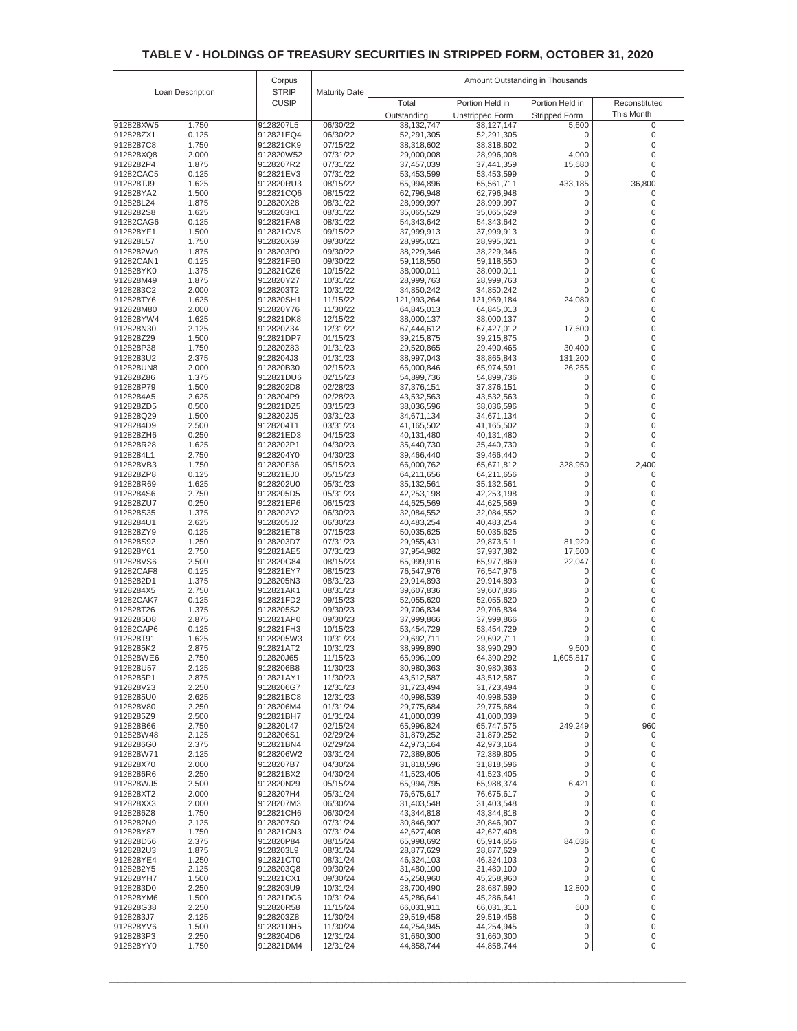|                        |                  | Corpus                 |                      | Amount Outstanding in Thousands |                          |                      |               |  |
|------------------------|------------------|------------------------|----------------------|---------------------------------|--------------------------|----------------------|---------------|--|
|                        | Loan Description | <b>STRIP</b>           | <b>Maturity Date</b> |                                 |                          |                      |               |  |
|                        |                  | <b>CUSIP</b>           |                      | Total                           | Portion Held in          | Portion Held in      | Reconstituted |  |
|                        |                  |                        |                      | Outstanding                     | <b>Unstripped Form</b>   | <b>Stripped Form</b> | This Month    |  |
| 912828XW5<br>912828ZX1 | 1.750<br>0.125   | 9128207L5<br>912821EQ4 | 06/30/22<br>06/30/22 | 38,132,747<br>52,291,305        | 38,127,147<br>52,291,305 | 5,600<br>0           | 0<br>0        |  |
| 9128287C8              | 1.750            | 912821CK9              | 07/15/22             | 38,318,602                      | 38,318,602               | 0                    | 0             |  |
| 912828XQ8              | 2.000            | 912820W52              | 07/31/22             | 29,000,008                      | 28,996,008               | 4,000                | 0             |  |
| 9128282P4              | 1.875            | 9128207R2              | 07/31/22             | 37,457,039                      | 37,441,359               | 15,680               | 0             |  |
| 91282CAC5              | 0.125            | 912821EV3              | 07/31/22             | 53,453,599                      | 53,453,599               | 0                    | 0             |  |
| 912828TJ9              | 1.625            | 912820RU3              | 08/15/22             | 65,994,896                      | 65,561,711               | 433,185              | 36,800        |  |
| 912828YA2<br>912828L24 | 1.500<br>1.875   | 912821CQ6<br>912820X28 | 08/15/22<br>08/31/22 | 62,796,948<br>28,999,997        | 62,796,948<br>28,999,997 | 0<br>0               | 0<br>0        |  |
| 9128282S8              | 1.625            | 9128203K1              | 08/31/22             | 35,065,529                      | 35,065,529               | 0                    | 0             |  |
| 91282CAG6              | 0.125            | 912821FA8              | 08/31/22             | 54,343,642                      | 54,343,642               | 0                    | 0             |  |
| 912828YF1              | 1.500            | 912821CV5              | 09/15/22             | 37,999,913                      | 37,999,913               | 0                    | 0             |  |
| 912828L57              | 1.750            | 912820X69              | 09/30/22             | 28,995,021                      | 28,995,021               | 0                    | 0             |  |
| 9128282W9<br>91282CAN1 | 1.875<br>0.125   | 9128203P0<br>912821FE0 | 09/30/22<br>09/30/22 | 38,229,346<br>59,118,550        | 38,229,346<br>59,118,550 | 0<br>0               | 0<br>0        |  |
| 912828YK0              | 1.375            | 912821CZ6              | 10/15/22             | 38,000,011                      | 38,000,011               | 0                    | 0             |  |
| 912828M49              | 1.875            | 912820Y27              | 10/31/22             | 28,999,763                      | 28,999,763               | 0                    | 0             |  |
| 9128283C2              | 2.000            | 9128203T2              | 10/31/22             | 34,850,242                      | 34,850,242               | 0                    | 0             |  |
| 912828TY6              | 1.625            | 912820SH1              | 11/15/22             | 121,993,264                     | 121,969,184              | 24,080               | 0             |  |
| 912828M80              | 2.000            | 912820Y76              | 11/30/22             | 64,845,013                      | 64,845,013               | 0<br>0               | 0<br>0        |  |
| 912828YW4<br>912828N30 | 1.625<br>2.125   | 912821DK8<br>912820Z34 | 12/15/22<br>12/31/22 | 38,000,137<br>67,444,612        | 38,000,137<br>67,427,012 | 17,600               | 0             |  |
| 912828Z29              | 1.500            | 912821DP7              | 01/15/23             | 39,215,875                      | 39,215,875               | 0                    | 0             |  |
| 912828P38              | 1.750            | 912820Z83              | 01/31/23             | 29,520,865                      | 29,490,465               | 30,400               | 0             |  |
| 9128283U2              | 2.375            | 9128204J3              | 01/31/23             | 38,997,043                      | 38,865,843               | 131,200              | 0             |  |
| 912828UN8              | 2.000            | 912820B30              | 02/15/23             | 66,000,846                      | 65,974,591               | 26,255               | 0             |  |
| 912828Z86<br>912828P79 | 1.375<br>1.500   | 912821DU6<br>9128202D8 | 02/15/23<br>02/28/23 | 54,899,736<br>37,376,151        | 54,899,736<br>37,376,151 | 0<br>0               | 0<br>0        |  |
| 9128284A5              | 2.625            | 9128204P9              | 02/28/23             | 43,532,563                      | 43,532,563               | 0                    | 0             |  |
| 912828ZD5              | 0.500            | 912821DZ5              | 03/15/23             | 38,036,596                      | 38,036,596               | 0                    | 0             |  |
| 912828Q29              | 1.500            | 9128202J5              | 03/31/23             | 34,671,134                      | 34,671,134               | 0                    | 0             |  |
| 9128284D9              | 2.500            | 9128204T1              | 03/31/23             | 41,165,502                      | 41,165,502               | 0                    | 0             |  |
| 912828ZH6              | 0.250            | 912821ED3              | 04/15/23             | 40,131,480<br>35,440,730        | 40,131,480               | 0<br>0               | 0<br>0        |  |
| 912828R28<br>9128284L1 | 1.625<br>2.750   | 9128202P1<br>9128204Y0 | 04/30/23<br>04/30/23 | 39,466,440                      | 35,440,730<br>39,466,440 | 0                    | 0             |  |
| 912828VB3              | 1.750            | 912820F36              | 05/15/23             | 66,000,762                      | 65,671,812               | 328,950              | 2,400         |  |
| 912828ZP8              | 0.125            | 912821EJ0              | 05/15/23             | 64,211,656                      | 64,211,656               | 0                    | 0             |  |
| 912828R69              | 1.625            | 9128202U0              | 05/31/23             | 35,132,561                      | 35, 132, 561             | 0                    | 0             |  |
| 9128284S6              | 2.750            | 9128205D5              | 05/31/23             | 42,253,198                      | 42,253,198               | 0                    | 0             |  |
| 912828ZU7<br>912828S35 | 0.250<br>1.375   | 912821EP6<br>9128202Y2 | 06/15/23<br>06/30/23 | 44,625,569<br>32,084,552        | 44,625,569<br>32,084,552 | 0<br>0               | 0<br>0        |  |
| 9128284U1              | 2.625            | 9128205J2              | 06/30/23             | 40,483,254                      | 40,483,254               | 0                    | 0             |  |
| 912828ZY9              | 0.125            | 912821ET8              | 07/15/23             | 50,035,625                      | 50,035,625               | 0                    | 0             |  |
| 912828S92              | 1.250            | 9128203D7              | 07/31/23             | 29,955,431                      | 29,873,511               | 81,920               | 0             |  |
| 912828Y61              | 2.750            | 912821AE5              | 07/31/23             | 37,954,982                      | 37,937,382               | 17,600               | 0             |  |
| 912828VS6<br>91282CAF8 | 2.500<br>0.125   | 912820G84<br>912821EY7 | 08/15/23<br>08/15/23 | 65,999,916<br>76,547,976        | 65,977,869<br>76,547,976 | 22,047<br>0          | 0<br>0        |  |
| 9128282D1              | 1.375            | 9128205N3              | 08/31/23             | 29,914,893                      | 29,914,893               | 0                    | 0             |  |
| 9128284X5              | 2.750            | 912821AK1              | 08/31/23             | 39,607,836                      | 39,607,836               | 0                    | 0             |  |
| 91282CAK7              | 0.125            | 912821FD2              | 09/15/23             | 52,055,620                      | 52,055,620               | 0                    | 0             |  |
| 912828T26              | 1.375            | 9128205S2              | 09/30/23             | 29,706,834                      | 29,706,834               | 0                    | 0             |  |
| 9128285D8<br>91282CAP6 | 2.875<br>0.125   | 912821AP0<br>912821FH3 | 09/30/23<br>10/15/23 | 37,999,866<br>53,454,729        | 37,999,866<br>53,454,729 | 0<br>0               | 0<br>0        |  |
| 912828T91              | 1.625            | 9128205W3              | 10/31/23             | 29,692,711                      | 29,692,711               | 0                    | 0             |  |
| 9128285K2              | 2.875            | 912821AT2              | 10/31/23             | 38,999,890                      | 38,990,290               | 9,600                | 0             |  |
| 912828WF6              | 2.750            | 912820J65              | 11/15/23             | 65,996,109                      | 64,390,292               | 1,605,817            | 0             |  |
| 912828U57              | 2.125            | 9128206B8              | 11/30/23             | 30,980,363                      | 30,980,363               | 0                    | 0             |  |
| 9128285P1<br>912828V23 | 2.875<br>2.250   | 912821AY1<br>9128206G7 | 11/30/23<br>12/31/23 | 43,512,587<br>31,723,494        | 43,512,587<br>31,723,494 | 0<br>0               | 0<br>0        |  |
| 9128285U0              | 2.625            | 912821BC8              | 12/31/23             | 40,998,539                      | 40,998,539               | 0                    | 0             |  |
| 912828V80              | 2.250            | 9128206M4              | 01/31/24             | 29,775,684                      | 29,775,684               | 0                    | 0             |  |
| 9128285Z9              | 2.500            | 912821BH7              | 01/31/24             | 41,000,039                      | 41,000,039               | 0                    | 0             |  |
| 912828B66              | 2.750            | 912820L47              | 02/15/24             | 65,996,824                      | 65,747,575               | 249,249              | 960           |  |
| 912828W48<br>9128286G0 | 2.125<br>2.375   | 9128206S1<br>912821BN4 | 02/29/24<br>02/29/24 | 31,879,252<br>42,973,164        | 31,879,252<br>42,973,164 | 0<br>0               | 0<br>0        |  |
| 912828W71              | 2.125            | 9128206W2              | 03/31/24             | 72,389,805                      | 72,389,805               | 0                    | 0             |  |
| 912828X70              | 2.000            | 9128207B7              | 04/30/24             | 31,818,596                      | 31,818,596               | 0                    | 0             |  |
| 9128286R6              | 2.250            | 912821BX2              | 04/30/24             | 41,523,405                      | 41,523,405               | 0                    | 0             |  |
| 912828WJ5              | 2.500            | 912820N29              | 05/15/24             | 65,994,795                      | 65,988,374               | 6,421                | 0             |  |
| 912828XT2<br>912828XX3 | 2.000<br>2.000   | 9128207H4<br>9128207M3 | 05/31/24<br>06/30/24 | 76,675,617<br>31,403,548        | 76,675,617<br>31,403,548 | 0<br>0               | 0<br>0        |  |
| 9128286Z8              | 1.750            | 912821CH6              | 06/30/24             | 43,344,818                      | 43,344,818               | 0                    | 0             |  |
| 9128282N9              | 2.125            | 9128207S0              | 07/31/24             | 30,846,907                      | 30,846,907               | 0                    | 0             |  |
| 912828Y87              | 1.750            | 912821CN3              | 07/31/24             | 42,627,408                      | 42,627,408               | 0                    | 0             |  |
| 912828D56              | 2.375            | 912820P84              | 08/15/24             | 65,998,692                      | 65,914,656               | 84,036               | 0             |  |
| 9128282U3<br>912828YE4 | 1.875<br>1.250   | 9128203L9<br>912821CT0 | 08/31/24<br>08/31/24 | 28,877,629<br>46,324,103        | 28,877,629<br>46,324,103 | 0<br>0               | 0<br>0        |  |
| 9128282Y5              | 2.125            | 9128203Q8              | 09/30/24             | 31,480,100                      | 31,480,100               | 0                    | 0             |  |
| 912828YH7              | 1.500            | 912821CX1              | 09/30/24             | 45,258,960                      | 45,258,960               | 0                    | 0             |  |
| 9128283D0              | 2.250            | 9128203U9              | 10/31/24             | 28,700,490                      | 28,687,690               | 12,800               | 0             |  |
| 912828YM6              | 1.500            | 912821DC6              | 10/31/24             | 45,286,641                      | 45,286,641               | 0                    | 0             |  |
| 912828G38<br>9128283J7 | 2.250<br>2.125   | 912820R58<br>9128203Z8 | 11/15/24<br>11/30/24 | 66,031,911<br>29,519,458        | 66,031,311<br>29,519,458 | 600<br>0             | 0<br>0        |  |
| 912828YV6              | 1.500            | 912821DH5              | 11/30/24             | 44,254,945                      | 44,254,945               | 0                    | 0             |  |
| 9128283P3              | 2.250            | 9128204D6              | 12/31/24             | 31,660,300                      | 31,660,300               | 0                    | 0             |  |
| 912828YY0              | 1.750            | 912821DM4              | 12/31/24             | 44,858,744                      | 44,858,744               | $\overline{0}$       | 0             |  |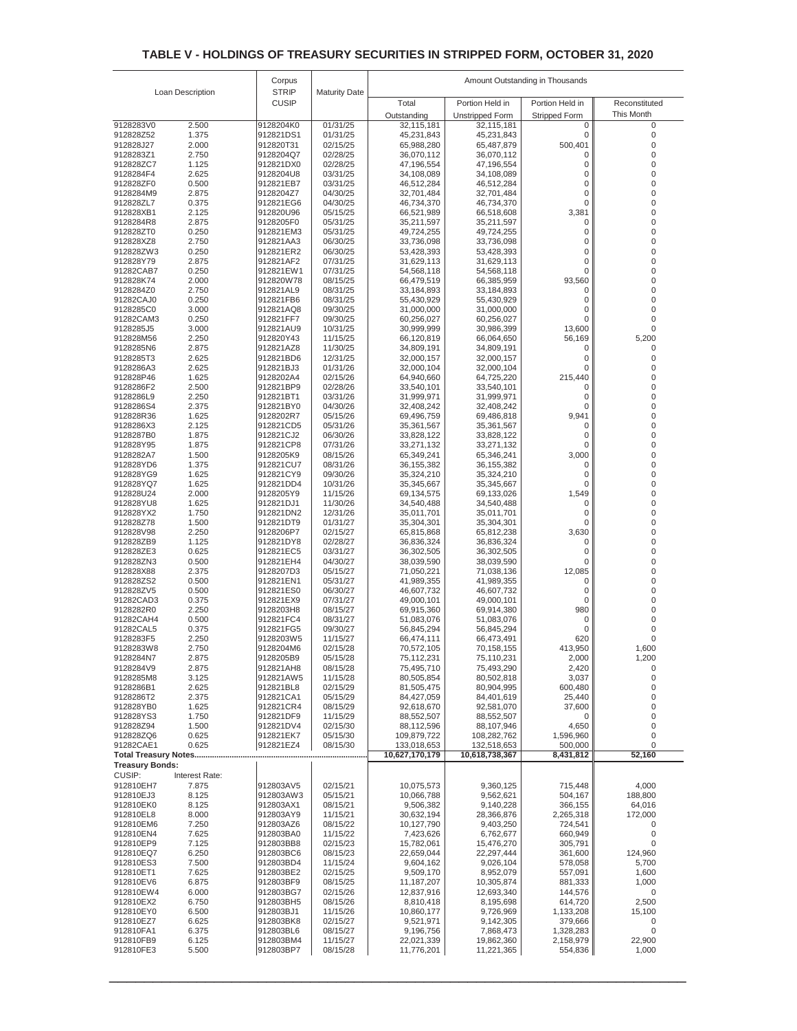|                             |                         | Corpus                 |                      | Amount Outstanding in Thousands |                                      |                      |                  |  |
|-----------------------------|-------------------------|------------------------|----------------------|---------------------------------|--------------------------------------|----------------------|------------------|--|
|                             | Loan Description        | <b>STRIP</b>           | <b>Maturity Date</b> |                                 |                                      |                      |                  |  |
|                             |                         | <b>CUSIP</b>           |                      | Total                           | Portion Held in                      | Portion Held in      | Reconstituted    |  |
| 9128283V0                   | 2.500                   | 9128204K0              | 01/31/25             | Outstanding<br>32,115,181       | <b>Unstripped Form</b><br>32,115,181 | Stripped Form<br>0   | This Month<br>0  |  |
| 912828Z52                   | 1.375                   | 912821DS1              | 01/31/25             | 45,231,843                      | 45,231,843                           | 0                    | 0                |  |
| 912828J27                   | 2.000                   | 912820T31              | 02/15/25             | 65,988,280                      | 65,487,879                           | 500,401              | 0                |  |
| 9128283Z1                   | 2.750                   | 9128204Q7              | 02/28/25             | 36,070,112                      | 36,070,112                           | 0                    | 0                |  |
| 912828ZC7<br>9128284F4      | 1.125<br>2.625          | 912821DX0<br>9128204U8 | 02/28/25<br>03/31/25 | 47,196,554<br>34,108,089        | 47,196,554<br>34,108,089             | 0<br>0               | 0<br>0           |  |
| 912828ZF0                   | 0.500                   | 912821EB7              | 03/31/25             | 46,512,284                      | 46,512,284                           | 0                    | 0                |  |
| 9128284M9                   | 2.875                   | 9128204Z7              | 04/30/25             | 32,701,484                      | 32,701,484                           | 0                    | 0                |  |
| 912828ZL7                   | 0.375                   | 912821EG6              | 04/30/25             | 46,734,370                      | 46,734,370                           | 0                    | 0                |  |
| 912828XB1<br>9128284R8      | 2.125<br>2.875          | 912820U96<br>9128205F0 | 05/15/25<br>05/31/25 | 66,521,989<br>35,211,597        | 66,518,608<br>35,211,597             | 3,381<br>0           | 0<br>0           |  |
| 912828ZT0                   | 0.250                   | 912821EM3              | 05/31/25             | 49,724,255                      | 49,724,255                           | 0                    | 0                |  |
| 912828XZ8                   | 2.750                   | 912821AA3              | 06/30/25             | 33,736,098                      | 33,736,098                           | 0                    | 0                |  |
| 912828ZW3                   | 0.250                   | 912821ER2              | 06/30/25             | 53,428,393<br>31,629,113        | 53,428,393                           | 0<br>0               | 0<br>0           |  |
| 912828Y79<br>91282CAB7      | 2.875<br>0.250          | 912821AF2<br>912821EW1 | 07/31/25<br>07/31/25 | 54,568,118                      | 31,629,113<br>54,568,118             | 0                    | 0                |  |
| 912828K74                   | 2.000                   | 912820W78              | 08/15/25             | 66,479,519                      | 66,385,959                           | 93,560               | 0                |  |
| 9128284Z0                   | 2.750                   | 912821AL9              | 08/31/25             | 33,184,893                      | 33,184,893                           | 0                    | 0                |  |
| 91282CAJ0<br>9128285C0      | 0.250<br>3.000          | 912821FB6<br>912821AQ8 | 08/31/25<br>09/30/25 | 55,430,929<br>31,000,000        | 55,430,929<br>31,000,000             | 0<br>0               | 0<br>0           |  |
| 91282CAM3                   | 0.250                   | 912821FF7              | 09/30/25             | 60,256,027                      | 60,256,027                           | 0                    | 0                |  |
| 9128285J5                   | 3.000                   | 912821AU9              | 10/31/25             | 30,999,999                      | 30,986,399                           | 13,600               | 0                |  |
| 912828M56                   | 2.250                   | 912820Y43              | 11/15/25             | 66,120,819                      | 66,064,650                           | 56,169               | 5,200            |  |
| 9128285N6<br>9128285T3      | 2.875<br>2.625          | 912821AZ8<br>912821BD6 | 11/30/25<br>12/31/25 | 34,809,191<br>32,000,157        | 34,809,191<br>32,000,157             | 0<br>0               | 0<br>0           |  |
| 9128286A3                   | 2.625                   | 912821BJ3              | 01/31/26             | 32,000,104                      | 32,000,104                           | 0                    | 0                |  |
| 912828P46                   | 1.625                   | 9128202A4              | 02/15/26             | 64,940,660                      | 64,725,220                           | 215,440              | 0                |  |
| 9128286F2                   | 2.500                   | 912821BP9              | 02/28/26             | 33,540,101                      | 33,540,101                           | 0                    | 0                |  |
| 9128286L9<br>9128286S4      | 2.250<br>2.375          | 912821BT1<br>912821BY0 | 03/31/26<br>04/30/26 | 31,999,971<br>32,408,242        | 31,999,971<br>32,408,242             | 0<br>0               | 0<br>0           |  |
| 912828R36                   | 1.625                   | 9128202R7              | 05/15/26             | 69,496,759                      | 69,486,818                           | 9,941                | 0                |  |
| 9128286X3                   | 2.125                   | 912821CD5              | 05/31/26             | 35,361,567                      | 35,361,567                           | 0                    | 0                |  |
| 9128287B0                   | 1.875                   | 912821CJ2              | 06/30/26             | 33,828,122                      | 33,828,122                           | 0                    | 0                |  |
| 912828Y95<br>9128282A7      | 1.875<br>1.500          | 912821CP8<br>9128205K9 | 07/31/26<br>08/15/26 | 33,271,132<br>65,349,241        | 33,271,132<br>65,346,241             | 0<br>3,000           | 0<br>0           |  |
| 912828YD6                   | 1.375                   | 912821CU7              | 08/31/26             | 36, 155, 382                    | 36, 155, 382                         | 0                    | 0                |  |
| 912828YG9                   | 1.625                   | 912821CY9              | 09/30/26             | 35,324,210                      | 35,324,210                           | 0                    | 0                |  |
| 912828YQ7                   | 1.625                   | 912821DD4              | 10/31/26             | 35,345,667                      | 35,345,667                           | 0                    | 0                |  |
| 912828U24<br>912828YU8      | 2.000<br>1.625          | 9128205Y9<br>912821DJ1 | 11/15/26<br>11/30/26 | 69,134,575<br>34,540,488        | 69,133,026<br>34,540,488             | 1,549<br>0           | 0<br>0           |  |
| 912828YX2                   | 1.750                   | 912821DN2              | 12/31/26             | 35,011,701                      | 35,011,701                           | 0                    | 0                |  |
| 912828Z78                   | 1.500                   | 912821DT9              | 01/31/27             | 35,304,301                      | 35,304,301                           | 0                    | 0                |  |
| 912828V98                   | 2.250                   | 9128206P7              | 02/15/27             | 65,815,868                      | 65,812,238                           | 3,630                | 0                |  |
| 912828ZB9<br>912828ZE3      | 1.125<br>0.625          | 912821DY8<br>912821EC5 | 02/28/27<br>03/31/27 | 36,836,324<br>36,302,505        | 36,836,324<br>36,302,505             | 0<br>0               | 0<br>0           |  |
| 912828ZN3                   | 0.500                   | 912821EH4              | 04/30/27             | 38,039,590                      | 38,039,590                           | 0                    | 0                |  |
| 912828X88                   | 2.375                   | 9128207D3              | 05/15/27             | 71,050,221                      | 71,038,136                           | 12,085               | 0                |  |
| 912828ZS2                   | 0.500                   | 912821EN1              | 05/31/27             | 41,989,355                      | 41,989,355                           | 0                    | 0                |  |
| 912828ZV5<br>91282CAD3      | 0.500<br>0.375          | 912821ES0<br>912821EX9 | 06/30/27<br>07/31/27 | 46,607,732<br>49,000,101        | 46,607,732<br>49,000,101             | 0<br>0               | 0<br>0           |  |
| 9128282R0                   | 2.250                   | 9128203H8              | 08/15/27             | 69,915,360                      | 69,914,380                           | 980                  | 0                |  |
| 91282CAH4                   | 0.500                   | 912821FC4              | 08/31/27             | 51,083,076                      | 51,083,076                           | 0                    | 0                |  |
| 91282CAL5                   | 0.375                   | 912821FG5              | 09/30/27             | 56,845,294                      | 56,845,294                           | 0                    | 0                |  |
| 9128283F5<br>9128283W8      | 2.250<br>2.750          | 9128203W5<br>9128204M6 | 11/15/27<br>02/15/28 | 66,474,111<br>70,572,105        | 66,473,491<br>70,158,155             | 620<br>413,950       | 0<br>1,600       |  |
| 9128284N7                   | 2.875                   | 9128205B9              | 05/15/28             | 75,112,231                      | 75,110,231                           | 2,000                | 1,200            |  |
| 9128284V9                   | 2.875                   | 912821AH8              | 08/15/28             | 75,495,710                      | 75,493,290                           | 2,420                | 0                |  |
| 9128285M8<br>9128286B1      | 3.125<br>2.625          | 912821AW5<br>912821BL8 | 11/15/28<br>02/15/29 | 80,505,854<br>81,505,475        | 80,502,818<br>80,904,995             | 3,037<br>600,480     | 0<br>0           |  |
| 9128286T2                   | 2.375                   | 912821CA1              | 05/15/29             | 84,427,059                      | 84,401,619                           | 25,440               | 0                |  |
| 912828YB0                   | 1.625                   | 912821CR4              | 08/15/29             | 92,618,670                      | 92,581,070                           | 37,600               | 0                |  |
| 912828YS3                   | 1.750                   | 912821DF9              | 11/15/29             | 88,552,507                      | 88,552,507                           | 0                    | 0                |  |
| 912828Z94<br>912828ZQ6      | 1.500<br>0.625          | 912821DV4<br>912821EK7 | 02/15/30<br>05/15/30 | 88,112,596<br>109,879,722       | 88,107,946<br>108,282,762            | 4,650<br>1,596,960   | 0<br>0           |  |
| 91282CAE1                   | 0.625                   | 912821EZ4              | 08/15/30             | 133,018,653                     | 132,518,653                          | 500,000              | 0                |  |
| <b>Total Treasury Notes</b> |                         |                        |                      | 10,627,170,179                  | 10,618,738,367                       | 8,431,812            | 52,160           |  |
| <b>Treasury Bonds:</b>      |                         |                        |                      |                                 |                                      |                      |                  |  |
| CUSIP:<br>912810EH7         | Interest Rate:<br>7.875 | 912803AV5              | 02/15/21             | 10,075,573                      | 9,360,125                            | 715,448              | 4,000            |  |
| 912810EJ3                   | 8.125                   | 912803AW3              | 05/15/21             | 10,066,788                      | 9,562,621                            | 504,167              | 188,800          |  |
| 912810EK0                   | 8.125                   | 912803AX1              | 08/15/21             | 9,506,382                       | 9,140,228                            | 366,155              | 64,016           |  |
| 912810EL8                   | 8.000                   | 912803AY9              | 11/15/21             | 30,632,194                      | 28,366,876                           | 2,265,318            | 172,000          |  |
| 912810EM6<br>912810EN4      | 7.250<br>7.625          | 912803AZ6<br>912803BA0 | 08/15/22<br>11/15/22 | 10,127,790<br>7,423,626         | 9,403,250<br>6,762,677               | 724,541<br>660,949   | 0<br>0           |  |
| 912810EP9                   | 7.125                   | 912803BB8              | 02/15/23             | 15,782,061                      | 15,476,270                           | 305,791              | 0                |  |
| 912810EQ7                   | 6.250                   | 912803BC6              | 08/15/23             | 22,659,044                      | 22,297,444                           | 361,600              | 124,960          |  |
| 912810ES3                   | 7.500                   | 912803BD4              | 11/15/24             | 9,604,162                       | 9,026,104                            | 578,058              | 5,700            |  |
| 912810ET1<br>912810EV6      | 7.625<br>6.875          | 912803BE2<br>912803BF9 | 02/15/25<br>08/15/25 | 9,509,170<br>11,187,207         | 8,952,079<br>10,305,874              | 557,091<br>881,333   | 1,600<br>1,000   |  |
| 912810EW4                   | 6.000                   | 912803BG7              | 02/15/26             | 12,837,916                      | 12,693,340                           | 144,576              | 0                |  |
| 912810EX2                   | 6.750                   | 912803BH5              | 08/15/26             | 8,810,418                       | 8,195,698                            | 614,720              | 2,500            |  |
| 912810EY0                   | 6.500                   | 912803BJ1              | 11/15/26             | 10,860,177                      | 9,726,969                            | 1,133,208            | 15,100           |  |
| 912810EZ7<br>912810FA1      | 6.625<br>6.375          | 912803BK8<br>912803BL6 | 02/15/27<br>08/15/27 | 9,521,971<br>9,196,756          | 9,142,305<br>7,868,473               | 379,666<br>1,328,283 | 0<br>$\mathbf 0$ |  |
| 912810FB9                   | 6.125                   | 912803BM4              | 11/15/27             | 22,021,339                      | 19,862,360                           | 2,158,979            | 22,900           |  |
| 912810FE3                   | 5.500                   | 912803BP7              | 08/15/28             | 11,776,201                      | 11,221,365                           | 554,836              | 1,000            |  |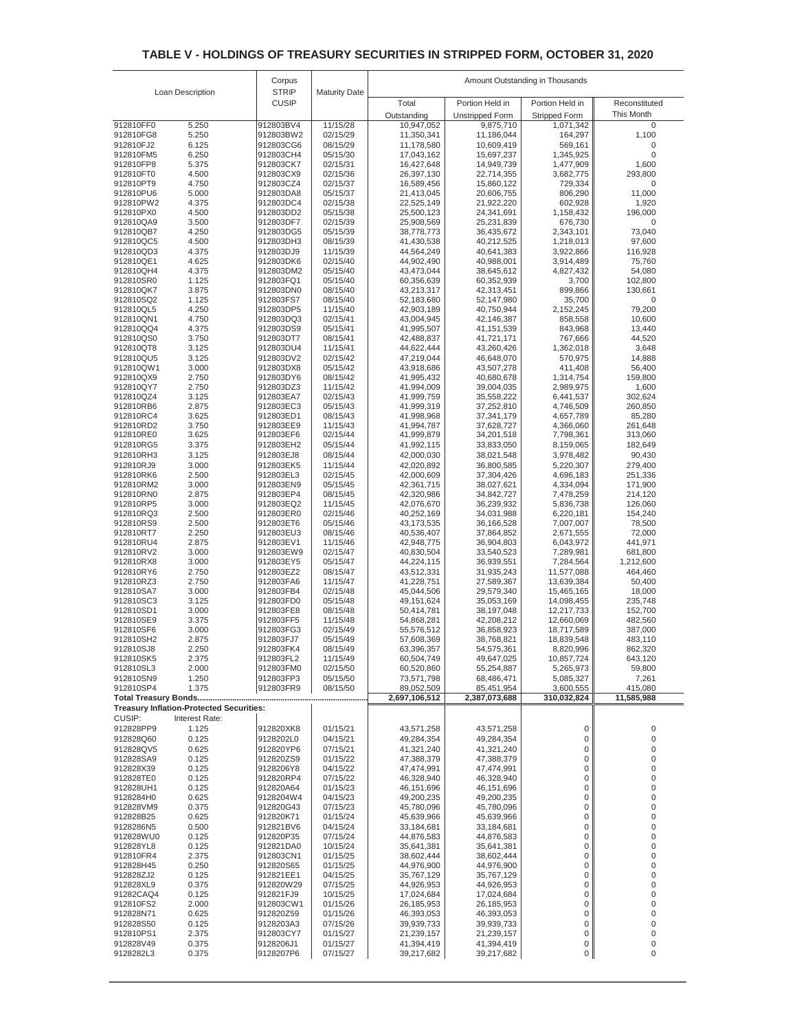|                        |                                                 | Corpus                 |                      | Amount Outstanding in Thousands |                                     |                                   |                           |
|------------------------|-------------------------------------------------|------------------------|----------------------|---------------------------------|-------------------------------------|-----------------------------------|---------------------------|
|                        | Loan Description                                | <b>STRIP</b>           | <b>Maturity Date</b> |                                 |                                     |                                   |                           |
|                        |                                                 | <b>CUSIP</b>           |                      | Total                           | Portion Held in                     | Portion Held in                   | Reconstituted             |
| 912810FF0              | 5.250                                           | 912803BV4              | 11/15/28             | Outstanding<br>10,947,052       | <b>Unstripped Form</b><br>9,875,710 | <b>Stripped Form</b><br>1,071,342 | This Month<br>$\mathbf 0$ |
| 912810FG8              | 5.250                                           | 912803BW2              | 02/15/29             | 11,350,341                      | 11,186,044                          | 164,297                           | 1,100                     |
| 912810FJ2              | 6.125                                           | 912803CG6              | 08/15/29             | 11,178,580                      | 10,609,419                          | 569,161                           | $\mathbf 0$               |
| 912810FM5              | 6.250                                           | 912803CH4              | 05/15/30             | 17,043,162                      | 15,697,237                          | 1,345,925                         | $\mathbf 0$               |
| 912810FP8              | 5.375                                           | 912803CK7              | 02/15/31             | 16,427,648                      | 14,949,739                          | 1,477,909                         | 1,600                     |
| 912810FT0              | 4.500                                           | 912803CX9              | 02/15/36             | 26,397,130                      | 22,714,355                          | 3,682,775                         | 293,800                   |
| 912810PT9<br>912810PU6 | 4.750<br>5.000                                  | 912803CZ4<br>912803DA8 | 02/15/37<br>05/15/37 | 16,589,456<br>21,413,045        | 15,860,122<br>20,606,755            | 729,334<br>806,290                | 0<br>11,000               |
| 912810PW2              | 4.375                                           | 912803DC4              | 02/15/38             | 22,525,149                      | 21,922,220                          | 602,928                           | 1,920                     |
| 912810PX0              | 4.500                                           | 912803DD2              | 05/15/38             | 25,500,123                      | 24,341,691                          | 1,158,432                         | 196,000                   |
| 912810QA9              | 3.500                                           | 912803DF7              | 02/15/39             | 25,908,569                      | 25,231,839                          | 676,730                           | 0                         |
| 912810QB7              | 4.250                                           | 912803DG5              | 05/15/39             | 38,778,773                      | 36,435,672                          | 2,343,101                         | 73,040                    |
| 912810QC5<br>912810QD3 | 4.500<br>4.375                                  | 912803DH3<br>912803DJ9 | 08/15/39<br>11/15/39 | 41,430,538<br>44,564,249        | 40,212,525<br>40,641,383            | 1,218,013<br>3,922,866            | 97,600<br>116,928         |
| 912810QE1              | 4.625                                           | 912803DK6              | 02/15/40             | 44,902,490                      | 40,988,001                          | 3,914,489                         | 75,760                    |
| 912810QH4              | 4.375                                           | 912803DM2              | 05/15/40             | 43,473,044                      | 38,645,612                          | 4,827,432                         | 54,080                    |
| 912810SR0              | 1.125                                           | 912803FQ1              | 05/15/40             | 60,356,639                      | 60,352,939                          | 3,700                             | 102,800                   |
| 912810QK7              | 3.875                                           | 912803DN0              | 08/15/40             | 43,213,317                      | 42,313,451                          | 899,866                           | 130,661                   |
| 912810SQ2              | 1.125                                           | 912803FS7              | 08/15/40             | 52,183,680                      | 52,147,980                          | 35,700                            | 0                         |
| 912810QL5<br>912810QN1 | 4.250<br>4.750                                  | 912803DP5<br>912803DQ3 | 11/15/40<br>02/15/41 | 42,903,189<br>43,004,945        | 40,750,944<br>42,146,387            | 2,152,245<br>858,558              | 79,200<br>10,600          |
| 912810QQ4              | 4.375                                           | 912803DS9              | 05/15/41             | 41,995,507                      | 41,151,539                          | 843,968                           | 13,440                    |
| 912810QS0              | 3.750                                           | 912803DT7              | 08/15/41             | 42,488,837                      | 41,721,171                          | 767,666                           | 44,520                    |
| 912810QT8              | 3.125                                           | 912803DU4              | 11/15/41             | 44,622,444                      | 43,260,426                          | 1,362,018                         | 3,648                     |
| 912810QU5              | 3.125                                           | 912803DV2              | 02/15/42             | 47,219,044                      | 46,648,070                          | 570,975                           | 14,888                    |
| 912810QW1              | 3.000                                           | 912803DX8              | 05/15/42             | 43,918,686                      | 43,507,278                          | 411,408                           | 56,400                    |
| 912810QX9<br>912810QY7 | 2.750<br>2.750                                  | 912803DY6<br>912803DZ3 | 08/15/42<br>11/15/42 | 41,995,432<br>41,994,009        | 40,680,678<br>39,004,035            | 1,314,754<br>2,989,975            | 159,800<br>1,600          |
| 912810QZ4              | 3.125                                           | 912803EA7              | 02/15/43             | 41,999,759                      | 35,558,222                          | 6,441,537                         | 302,624                   |
| 912810RB6              | 2.875                                           | 912803EC3              | 05/15/43             | 41,999,319                      | 37,252,810                          | 4,746,509                         | 260,850                   |
| 912810RC4              | 3.625                                           | 912803ED1              | 08/15/43             | 41,998,968                      | 37,341,179                          | 4,657,789                         | 85,280                    |
| 912810RD2              | 3.750                                           | 912803EE9              | 11/15/43             | 41,994,787                      | 37,628,727                          | 4,366,060                         | 261,648                   |
| 912810RE0<br>912810RG5 | 3.625                                           | 912803EF6              | 02/15/44<br>05/15/44 | 41,999,879                      | 34,201,518                          | 7,798,361                         | 313,060<br>182,649        |
| 912810RH3              | 3.375<br>3.125                                  | 912803EH2<br>912803EJ8 | 08/15/44             | 41,992,115<br>42,000,030        | 33,833,050<br>38,021,548            | 8,159,065<br>3,978,482            | 90,430                    |
| 912810RJ9              | 3.000                                           | 912803EK5              | 11/15/44             | 42,020,892                      | 36,800,585                          | 5,220,307                         | 279,400                   |
| 912810RK6              | 2.500                                           | 912803EL3              | 02/15/45             | 42,000,609                      | 37,304,426                          | 4,696,183                         | 251,336                   |
| 912810RM2              | 3.000                                           | 912803EN9              | 05/15/45             | 42,361,715                      | 38,027,621                          | 4,334,094                         | 171,900                   |
| 912810RN0              | 2.875                                           | 912803EP4              | 08/15/45             | 42,320,986                      | 34,842,727                          | 7,478,259                         | 214,120                   |
| 912810RP5<br>912810RQ3 | 3.000<br>2.500                                  | 912803EQ2<br>912803ER0 | 11/15/45<br>02/15/46 | 42,076,670<br>40,252,169        | 36,239,932<br>34,031,988            | 5,836,738<br>6,220,181            | 126,060<br>154,240        |
| 912810RS9              | 2.500                                           | 912803ET6              | 05/15/46             | 43,173,535                      | 36,166,528                          | 7,007,007                         | 78,500                    |
| 912810RT7              | 2.250                                           | 912803EU3              | 08/15/46             | 40,536,407                      | 37,864,852                          | 2,671,555                         | 72,000                    |
| 912810RU4              | 2.875                                           | 912803EV1              | 11/15/46             | 42,948,775                      | 36,904,803                          | 6,043,972                         | 441,971                   |
| 912810RV2              | 3.000                                           | 912803EW9              | 02/15/47             | 40,830,504                      | 33,540,523                          | 7,289,981                         | 681,800                   |
| 912810RX8              | 3.000                                           | 912803EY5              | 05/15/47             | 44,224,115                      | 36,939,551                          | 7,284,564                         | 1,212,600                 |
| 912810RY6<br>912810RZ3 | 2.750<br>2.750                                  | 912803EZ2<br>912803FA6 | 08/15/47<br>11/15/47 | 43,512,331<br>41,228,751        | 31,935,243<br>27,589,367            | 11,577,088<br>13,639,384          | 464,460<br>50,400         |
| 912810SA7              | 3.000                                           | 912803FB4              | 02/15/48             | 45,044,506                      | 29,579,340                          | 15,465,165                        | 18,000                    |
| 912810SC3              | 3.125                                           | 912803FD0              | 05/15/48             | 49,151,624                      | 35,053,169                          | 14,098,455                        | 235,748                   |
| 912810SD1              | 3.000                                           | 912803FE8              | 08/15/48             | 50,414,781                      | 38,197,048                          | 12,217,733                        | 152,700                   |
| 912810SE9              | 3.375                                           | 912803FF5              | 11/15/48             | 54,868,281                      | 42,208,212                          | 12,660,069                        | 482,560                   |
| 912810SF6              | 3.000                                           | 912803FG3              | 02/15/49             | 55,576,512                      | 36,858,923                          | 18,717,589                        | 387,000                   |
| 912810SH2<br>912810SJ8 | 2.875<br>2.250                                  | 912803FJ7<br>912803FK4 | 05/15/49<br>08/15/49 | 57,608,369<br>63,396,357        | 38,768,821<br>54,575,361            | 18,839,548<br>8,820,996           | 483,110<br>862,320        |
| 912810SK5              | 2.375                                           | 912803FL2              | 11/15/49             | 60,504,749                      | 49,647,025                          | 10,857,724                        | 643,120                   |
| 912810SL3              | 2.000                                           | 912803FM0              | 02/15/50             | 60,520,860                      | 55,254,887                          | 5,265,973                         | 59,800                    |
| 912810SN9              | 1.250                                           | 912803FP3              | 05/15/50             | 73,571,798                      | 68,486,471                          | 5,085,327                         | 7,261                     |
| 912810SP4              | 1.375                                           | 912803FR9              | 08/15/50             | 89,052,509                      | 85,451,954                          | 3,600,555                         | 415,080                   |
|                        | <b>Treasury Inflation-Protected Securities:</b> |                        |                      | 2,697,106,512                   | 2,387,073,688                       | 310,032,824                       | 11,585,988                |
| CUSIP:                 | Interest Rate:                                  |                        |                      |                                 |                                     |                                   |                           |
| 912828PP9              | 1.125                                           | 912820XK8              | 01/15/21             | 43,571,258                      | 43,571,258                          | $\mathbf 0$                       | 0                         |
| 912828Q60              | 0.125                                           | 9128202L0              | 04/15/21             | 49,284,354                      | 49,284,354                          | $\bf 0$                           | 0                         |
| 912828QV5              | 0.625                                           | 912820YP6              | 07/15/21             | 41,321,240                      | 41,321,240                          | $\mathsf 0$                       | 0                         |
| 912828SA9              | 0.125                                           | 912820ZS9              | 01/15/22             | 47,388,379                      | 47,388,379                          | 0                                 | 0                         |
| 912828X39              | 0.125                                           | 9128206Y8              | 04/15/22             | 47,474,991                      | 47,474,991                          | 0                                 | 0                         |
| 912828TE0<br>912828UH1 | 0.125<br>0.125                                  | 912820RP4<br>912820A64 | 07/15/22<br>01/15/23 | 46,328,940<br>46,151,696        | 46,328,940<br>46,151,696            | $\boldsymbol{0}$<br>$\mathbf 0$   | 0<br>0                    |
| 9128284H0              | 0.625                                           | 9128204W4              | 04/15/23             | 49,200,235                      | 49,200,235                          | 0                                 | 0                         |
| 912828VM9              | 0.375                                           | 912820G43              | 07/15/23             | 45,780,096                      | 45,780,096                          | $\mathbf 0$                       | 0                         |
| 912828B25              | 0.625                                           | 912820K71              | 01/15/24             | 45,639,966                      | 45,639,966                          | $\boldsymbol{0}$                  | 0                         |
| 9128286N5              | 0.500                                           | 912821BV6              | 04/15/24             | 33,184,681                      | 33,184,681                          | $\mathbf 0$                       | 0                         |
| 912828WU0              | 0.125                                           | 912820P35              | 07/15/24             | 44,876,583                      | 44,876,583                          | 0                                 | 0                         |
| 912828YL8<br>912810FR4 | 0.125<br>2.375                                  | 912821DA0<br>912803CN1 | 10/15/24<br>01/15/25 | 35,641,381<br>38,602,444        | 35,641,381<br>38,602,444            | $\mathbf 0$<br>$\mathbf 0$        | 0<br>0                    |
| 912828H45              | 0.250                                           | 912820S65              | 01/15/25             | 44,976,900                      | 44,976,900                          | $\mathbf 0$                       | 0                         |
| 912828ZJ2              | 0.125                                           | 912821EE1              | 04/15/25             | 35,767,129                      | 35,767,129                          | $\mathbf 0$                       | 0                         |
| 912828XL9              | 0.375                                           | 912820W29              | 07/15/25             | 44,926,953                      | 44,926,953                          | $\mathbf 0$                       | 0                         |
| 91282CAQ4              | 0.125                                           | 912821FJ9              | 10/15/25             | 17,024,684                      | 17,024,684                          | $\mathbf 0$                       | 0                         |
| 912810FS2              | 2.000                                           | 912803CW1              | 01/15/26             | 26,185,953                      | 26,185,953                          | $\mathsf 0$                       | 0                         |
| 912828N71<br>912828S50 | 0.625<br>0.125                                  | 912820Z59<br>9128203A3 | 01/15/26<br>07/15/26 | 46,393,053<br>39,939,733        | 46,393,053<br>39,939,733            | $\mathbf 0$<br>$\bf 0$            | 0<br>0                    |
| 912810PS1              | 2.375                                           | 912803CY7              | 01/15/27             | 21,239,157                      | 21,239,157                          | $\pmb{0}$                         | 0                         |
| 912828V49              | 0.375                                           | 9128206J1              | 01/15/27             | 41,394,419                      | 41,394,419                          | 0                                 | 0                         |
| 9128282L3              | 0.375                                           | 9128207P6              | 07/15/27             | 39,217,682                      | 39,217,682                          | $\circ$                           | 0                         |